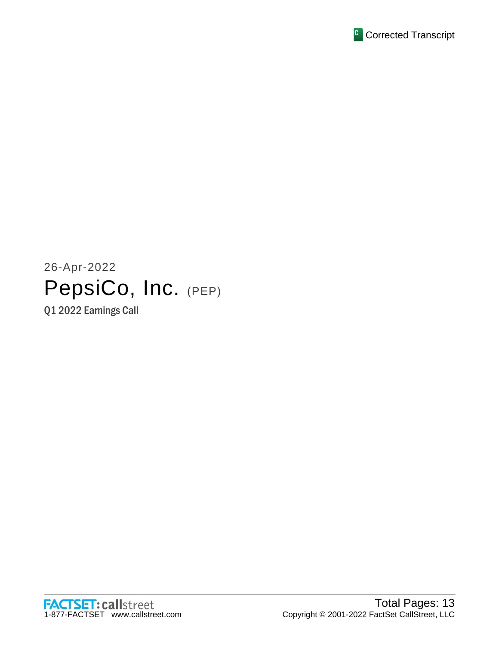

# 26-Apr-2022 PepsiCo, Inc. (PEP)

Q1 2022 Earnings Call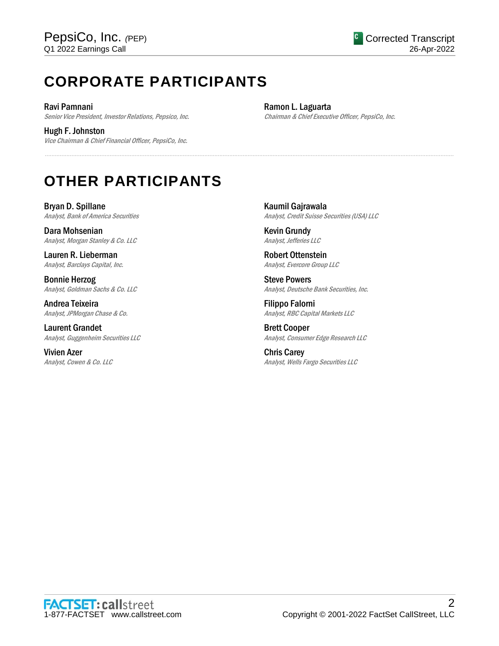## **CORPORATE PARTICIPANTS**

Ravi Pamnani Senior Vice President, Investor Relations, Pepsico, Inc.

Hugh F. Johnston Vice Chairman & Chief Financial Officer, PepsiCo, Inc. Ramon L. Laguarta Chairman & Chief Executive Officer, PepsiCo, Inc.

## **OTHER PARTICIPANTS**

Bryan D. Spillane Analyst, Bank of America Securities

Dara Mohsenian Analyst, Morgan Stanley & Co. LLC

Lauren R. Lieberman Analyst, Barclays Capital, Inc.

Bonnie Herzog Analyst, Goldman Sachs & Co. LLC

Andrea Teixeira Analyst, JPMorgan Chase & Co.

Laurent Grandet Analyst, Guggenheim Securities LLC

Vivien Azer Analyst, Cowen & Co. LLC Kaumil Gajrawala Analyst, Credit Suisse Securities (USA) LLC

Kevin Grundy Analyst, Jefferies LLC

......................................................................................................................................................................................................................................................

Robert Ottenstein Analyst, Evercore Group LLC

Steve Powers Analyst, Deutsche Bank Securities, Inc.

Filippo Falorni Analyst, RBC Capital Markets LLC

Brett Cooper Analyst, Consumer Edge Research LLC

Chris Carey Analyst, Wells Fargo Securities LLC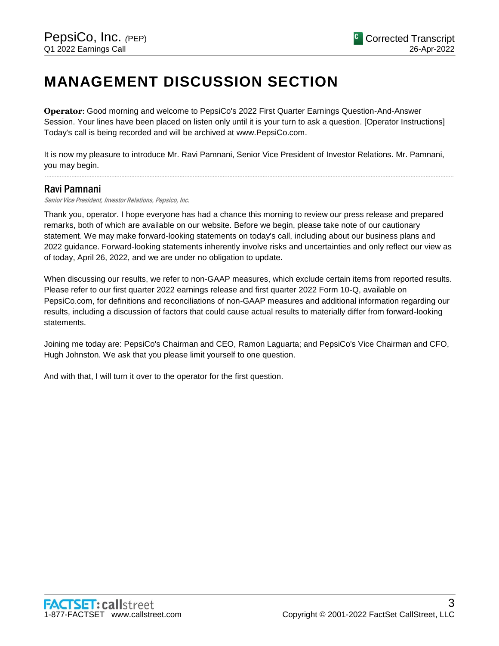### **MANAGEMENT DISCUSSION SECTION**

**Operator**: Good morning and welcome to PepsiCo's 2022 First Quarter Earnings Question-And-Answer Session. Your lines have been placed on listen only until it is your turn to ask a question. [Operator Instructions] Today's call is being recorded and will be archived at www.PepsiCo.com.

It is now my pleasure to introduce Mr. Ravi Pamnani, Senior Vice President of Investor Relations. Mr. Pamnani, you may begin.

......................................................................................................................................................................................................................................................

#### Ravi Pamnani

Senior Vice President, Investor Relations, Pepsico, Inc.

Thank you, operator. I hope everyone has had a chance this morning to review our press release and prepared remarks, both of which are available on our website. Before we begin, please take note of our cautionary statement. We may make forward-looking statements on today's call, including about our business plans and 2022 guidance. Forward-looking statements inherently involve risks and uncertainties and only reflect our view as of today, April 26, 2022, and we are under no obligation to update.

When discussing our results, we refer to non-GAAP measures, which exclude certain items from reported results. Please refer to our first quarter 2022 earnings release and first quarter 2022 Form 10-Q, available on PepsiCo.com, for definitions and reconciliations of non-GAAP measures and additional information regarding our results, including a discussion of factors that could cause actual results to materially differ from forward-looking statements.

Joining me today are: PepsiCo's Chairman and CEO, Ramon Laguarta; and PepsiCo's Vice Chairman and CFO, Hugh Johnston. We ask that you please limit yourself to one question.

And with that, I will turn it over to the operator for the first question.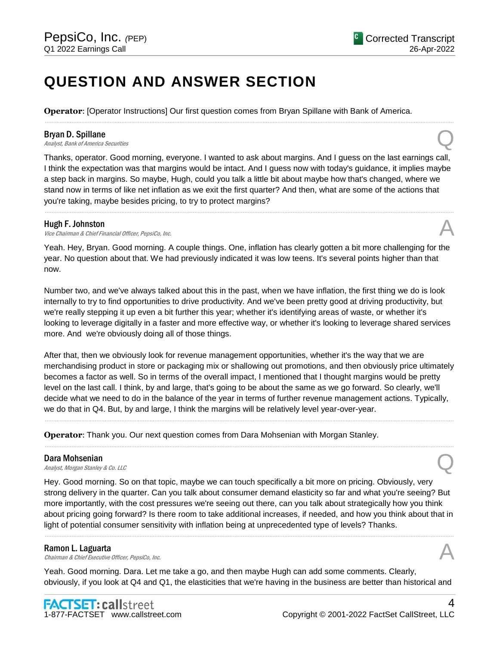### **QUESTION AND ANSWER SECTION**

**Operator**: [Operator Instructions] Our first question comes from Bryan Spillane with Bank of America.

#### Bryan D. Spillane

**Bryan D. Spillane**<br>Analyst, Bank of America Securities **Q** 

Thanks, operator. Good morning, everyone. I wanted to ask about margins. And I guess on the last earnings call, I think the expectation was that margins would be intact. And I guess now with today's guidance, it implies maybe a step back in margins. So maybe, Hugh, could you talk a little bit about maybe how that's changed, where we stand now in terms of like net inflation as we exit the first quarter? And then, what are some of the actions that you're taking, maybe besides pricing, to try to protect margins?

......................................................................................................................................................................................................................................................

......................................................................................................................................................................................................................................................

#### Hugh F. Johnston

Vice Chairman & Chief Financial Officer, PepsiCo. Inc.

Yeah. Hey, Bryan. Good morning. A couple things. One, inflation has clearly gotten a bit more challenging for the year. No question about that. We had previously indicated it was low teens. It's several points higher than that now.

Number two, and we've always talked about this in the past, when we have inflation, the first thing we do is look internally to try to find opportunities to drive productivity. And we've been pretty good at driving productivity, but we're really stepping it up even a bit further this year; whether it's identifying areas of waste, or whether it's looking to leverage digitally in a faster and more effective way, or whether it's looking to leverage shared services more. And we're obviously doing all of those things.

After that, then we obviously look for revenue management opportunities, whether it's the way that we are merchandising product in store or packaging mix or shallowing out promotions, and then obviously price ultimately becomes a factor as well. So in terms of the overall impact, I mentioned that I thought margins would be pretty level on the last call. I think, by and large, that's going to be about the same as we go forward. So clearly, we'll decide what we need to do in the balance of the year in terms of further revenue management actions. Typically, we do that in Q4. But, by and large, I think the margins will be relatively level year-over-year.

......................................................................................................................................................................................................................................................

......................................................................................................................................................................................................................................................

**Operator**: Thank you. Our next question comes from Dara Mohsenian with Morgan Stanley.

#### Dara Mohsenian

**Dara Mohsenian**<br>Analyst, Morgan Stanley & Co. LLC

Hey. Good morning. So on that topic, maybe we can touch specifically a bit more on pricing. Obviously, very strong delivery in the quarter. Can you talk about consumer demand elasticity so far and what you're seeing? But more importantly, with the cost pressures we're seeing out there, can you talk about strategically how you think about pricing going forward? Is there room to take additional increases, if needed, and how you think about that in light of potential consumer sensitivity with inflation being at unprecedented type of levels? Thanks.

......................................................................................................................................................................................................................................................

#### Ramon L. Laguarta

**Ramon L. Laguarta**<br>Chairman & Chief Executive Officer, PepsiCo, Inc.  $\mathcal{A}$ 

Yeah. Good morning. Dara. Let me take a go, and then maybe Hugh can add some comments. Clearly, obviously, if you look at Q4 and Q1, the elasticities that we're having in the business are better than historical and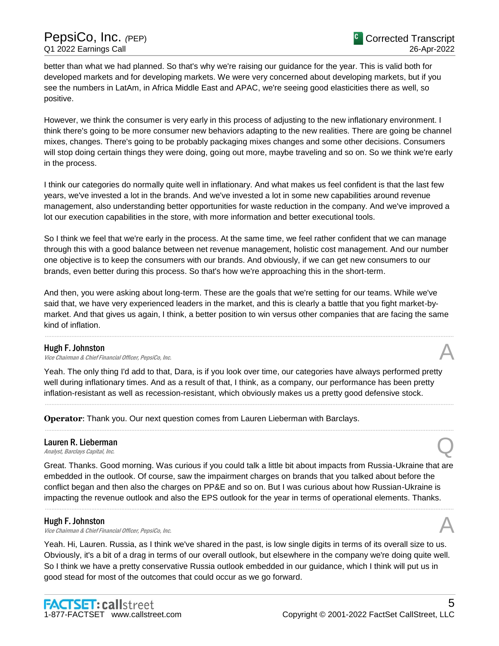better than what we had planned. So that's why we're raising our guidance for the year. This is valid both for developed markets and for developing markets. We were very concerned about developing markets, but if you see the numbers in LatAm, in Africa Middle East and APAC, we're seeing good elasticities there as well, so positive.

However, we think the consumer is very early in this process of adjusting to the new inflationary environment. I think there's going to be more consumer new behaviors adapting to the new realities. There are going be channel mixes, changes. There's going to be probably packaging mixes changes and some other decisions. Consumers will stop doing certain things they were doing, going out more, maybe traveling and so on. So we think we're early in the process.

I think our categories do normally quite well in inflationary. And what makes us feel confident is that the last few years, we've invested a lot in the brands. And we've invested a lot in some new capabilities around revenue management, also understanding better opportunities for waste reduction in the company. And we've improved a lot our execution capabilities in the store, with more information and better executional tools.

So I think we feel that we're early in the process. At the same time, we feel rather confident that we can manage through this with a good balance between net revenue management, holistic cost management. And our number one objective is to keep the consumers with our brands. And obviously, if we can get new consumers to our brands, even better during this process. So that's how we're approaching this in the short-term.

And then, you were asking about long-term. These are the goals that we're setting for our teams. While we've said that, we have very experienced leaders in the market, and this is clearly a battle that you fight market-bymarket. And that gives us again, I think, a better position to win versus other companies that are facing the same kind of inflation.

......................................................................................................................................................................................................................................................

#### Hugh F. Johnston

**Hugh F. Johnston**<br>Vice Chairman & Chief Financial Officer, PepsiCo, Inc.  $\mathcal{A}$ 

Yeah. The only thing I'd add to that, Dara, is if you look over time, our categories have always performed pretty well during inflationary times. And as a result of that, I think, as a company, our performance has been pretty inflation-resistant as well as recession-resistant, which obviously makes us a pretty good defensive stock.

......................................................................................................................................................................................................................................................

......................................................................................................................................................................................................................................................

**Operator**: Thank you. Our next question comes from Lauren Lieberman with Barclays.

### Lauren R. Lieberman **Lauren R. Lieberman**<br>Analyst, Barclays Capital, Inc.  $\bigotimes$

Great. Thanks. Good morning. Was curious if you could talk a little bit about impacts from Russia-Ukraine that are embedded in the outlook. Of course, saw the impairment charges on brands that you talked about before the conflict began and then also the charges on PP&E and so on. But I was curious about how Russian-Ukraine is impacting the revenue outlook and also the EPS outlook for the year in terms of operational elements. Thanks.

......................................................................................................................................................................................................................................................

#### Hugh F. Johnston

Vice Chairman & Chief Financial Officer, PepsiCo, Inc. A

Yeah. Hi, Lauren. Russia, as I think we've shared in the past, is low single digits in terms of its overall size to us. Obviously, it's a bit of a drag in terms of our overall outlook, but elsewhere in the company we're doing quite well. So I think we have a pretty conservative Russia outlook embedded in our guidance, which I think will put us in good stead for most of the outcomes that could occur as we go forward.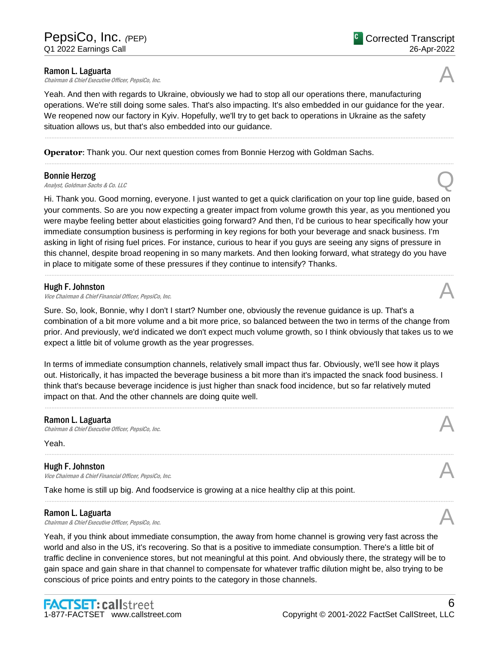**Ramon L. Laguarta**<br>Chairman & Chief Executive Officer, PepsiCo, Inc. **Ramon L. Laguarta**<br>Chairman & Chief Executive Officer, PepsiCo, Inc.  $\mathcal{A}$ 

Yeah. And then with regards to Ukraine, obviously we had to stop all our operations there, manufacturing operations. We're still doing some sales. That's also impacting. It's also embedded in our guidance for the year. We reopened now our factory in Kyiv. Hopefully, we'll try to get back to operations in Ukraine as the safety situation allows us, but that's also embedded into our guidance.

......................................................................................................................................................................................................................................................

**Operator**: Thank you. Our next question comes from Bonnie Herzog with Goldman Sachs.

#### Bonnie Herzog

**Bonnie Herzog**<br>Analyst, Goldman Sachs & Co. LLC

Hi. Thank you. Good morning, everyone. I just wanted to get a quick clarification on your top line guide, based on your comments. So are you now expecting a greater impact from volume growth this year, as you mentioned you were maybe feeling better about elasticities going forward? And then, I'd be curious to hear specifically how your immediate consumption business is performing in key regions for both your beverage and snack business. I'm asking in light of rising fuel prices. For instance, curious to hear if you guys are seeing any signs of pressure in this channel, despite broad reopening in so many markets. And then looking forward, what strategy do you have in place to mitigate some of these pressures if they continue to intensify? Thanks.

......................................................................................................................................................................................................................................................

#### Hugh F. Johnston

Vice Chairman & Chief Financial Officer, PepsiCo, Inc. A

Sure. So, look, Bonnie, why I don't I start? Number one, obviously the revenue guidance is up. That's a combination of a bit more volume and a bit more price, so balanced between the two in terms of the change from prior. And previously, we'd indicated we don't expect much volume growth, so I think obviously that takes us to we expect a little bit of volume growth as the year progresses.

In terms of immediate consumption channels, relatively small impact thus far. Obviously, we'll see how it plays out. Historically, it has impacted the beverage business a bit more than it's impacted the snack food business. I think that's because beverage incidence is just higher than snack food incidence, but so far relatively muted impact on that. And the other channels are doing quite well.

......................................................................................................................................................................................................................................................

#### Ramon L. Laguarta

Chairman & Chief Executive Officer, PepsiCo, Inc.

Yeah.

#### Hugh F. Johnston

**Hugh F. Johnston**<br>Vice Chairman & Chief Financial Officer, PepsiCo, Inc.  $\mathcal{A}$ 

Take home is still up big. And foodservice is growing at a nice healthy clip at this point.

#### Ramon L. Laguarta

**Ramon L. Laguarta**<br>Chairman & Chief Executive Officer, PepsiCo, Inc.  $\mathcal{A}$ 

Yeah, if you think about immediate consumption, the away from home channel is growing very fast across the world and also in the US, it's recovering. So that is a positive to immediate consumption. There's a little bit of traffic decline in convenience stores, but not meaningful at this point. And obviously there, the strategy will be to gain space and gain share in that channel to compensate for whatever traffic dilution might be, also trying to be conscious of price points and entry points to the category in those channels.

......................................................................................................................................................................................................................................................

26-Apr-2022

Corrected Transcript





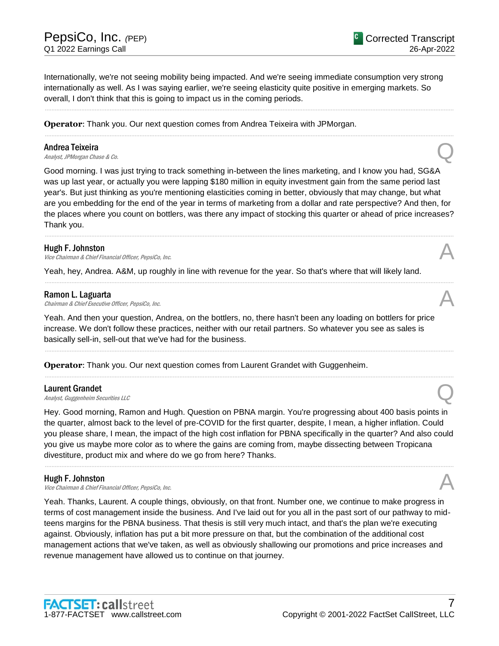Internationally, we're not seeing mobility being impacted. And we're seeing immediate consumption very strong internationally as well. As I was saying earlier, we're seeing elasticity quite positive in emerging markets. So overall, I don't think that this is going to impact us in the coming periods.

......................................................................................................................................................................................................................................................

......................................................................................................................................................................................................................................................

**Operator**: Thank you. Our next question comes from Andrea Teixeira with JPMorgan.

#### Andrea Teixeira

**Andrea Teixeira**<br>Analyst, JPMorgan Chase & Co.

Good morning. I was just trying to track something in-between the lines marketing, and I know you had, SG&A was up last year, or actually you were lapping \$180 million in equity investment gain from the same period last year's. But just thinking as you're mentioning elasticities coming in better, obviously that may change, but what are you embedding for the end of the year in terms of marketing from a dollar and rate perspective? And then, for the places where you count on bottlers, was there any impact of stocking this quarter or ahead of price increases? Thank you.

......................................................................................................................................................................................................................................................

......................................................................................................................................................................................................................................................

#### Hugh F. Johnston

**Hugh F. Johnston**<br>Vice Chairman & Chief Financial Officer, PepsiCo, Inc.  $\mathcal{A}$ 

Yeah, hey, Andrea. A&M, up roughly in line with revenue for the year. So that's where that will likely land.

#### Ramon L. Laguarta

**Ramon L. Laguarta**<br>Chairman & Chief Executive Officer, PepsiCo, Inc.  $\mathcal{A}$ 

Yeah. And then your question, Andrea, on the bottlers, no, there hasn't been any loading on bottlers for price increase. We don't follow these practices, neither with our retail partners. So whatever you see as sales is basically sell-in, sell-out that we've had for the business.

......................................................................................................................................................................................................................................................

......................................................................................................................................................................................................................................................

**Operator**: Thank you. Our next question comes from Laurent Grandet with Guggenheim.

#### Laurent Grandet

**Laurent Grandet**<br>Analyst, Guggenheim Securities LLC

Hey. Good morning, Ramon and Hugh. Question on PBNA margin. You're progressing about 400 basis points in the quarter, almost back to the level of pre-COVID for the first quarter, despite, I mean, a higher inflation. Could you please share, I mean, the impact of the high cost inflation for PBNA specifically in the quarter? And also could you give us maybe more color as to where the gains are coming from, maybe dissecting between Tropicana divestiture, product mix and where do we go from here? Thanks.

......................................................................................................................................................................................................................................................

#### Hugh F. Johnston

Vice Chairman & Chief Financial Officer, PepsiCo, Inc. A

Yeah. Thanks, Laurent. A couple things, obviously, on that front. Number one, we continue to make progress in terms of cost management inside the business. And I've laid out for you all in the past sort of our pathway to midteens margins for the PBNA business. That thesis is still very much intact, and that's the plan we're executing against. Obviously, inflation has put a bit more pressure on that, but the combination of the additional cost management actions that we've taken, as well as obviously shallowing our promotions and price increases and revenue management have allowed us to continue on that journey.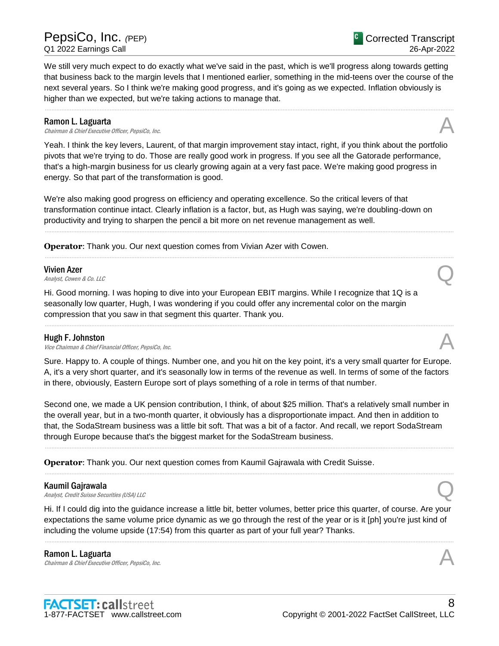We still very much expect to do exactly what we've said in the past, which is we'll progress along towards getting that business back to the margin levels that I mentioned earlier, something in the mid-teens over the course of the next several years. So I think we're making good progress, and it's going as we expected. Inflation obviously is higher than we expected, but we're taking actions to manage that.

......................................................................................................................................................................................................................................................

#### Ramon L. Laguarta

**Ramon L. Laguarta**<br>Chairman & Chief Executive Officer, PepsiCo, Inc.  $\mathcal{A}$ 

Yeah. I think the key levers, Laurent, of that margin improvement stay intact, right, if you think about the portfolio pivots that we're trying to do. Those are really good work in progress. If you see all the Gatorade performance, that's a high-margin business for us clearly growing again at a very fast pace. We're making good progress in energy. So that part of the transformation is good.

We're also making good progress on efficiency and operating excellence. So the critical levers of that transformation continue intact. Clearly inflation is a factor, but, as Hugh was saying, we're doubling-down on productivity and trying to sharpen the pencil a bit more on net revenue management as well.

......................................................................................................................................................................................................................................................

......................................................................................................................................................................................................................................................

**Operator**: Thank you. Our next question comes from Vivian Azer with Cowen.

#### Vivien Azer

**Vivien Azer**<br>Analyst, Cowen & Co. LLC

Hi. Good morning. I was hoping to dive into your European EBIT margins. While I recognize that 1Q is a seasonally low quarter, Hugh, I was wondering if you could offer any incremental color on the margin compression that you saw in that segment this quarter. Thank you.

#### Hugh F. Johnston

**Hugh F. Johnston**<br>Vice Chairman & Chief Financial Officer, PepsiCo, Inc.  $\mathcal{A}$ 

Sure. Happy to. A couple of things. Number one, and you hit on the key point, it's a very small quarter for Europe. A, it's a very short quarter, and it's seasonally low in terms of the revenue as well. In terms of some of the factors in there, obviously, Eastern Europe sort of plays something of a role in terms of that number.

......................................................................................................................................................................................................................................................

Second one, we made a UK pension contribution, I think, of about \$25 million. That's a relatively small number in the overall year, but in a two-month quarter, it obviously has a disproportionate impact. And then in addition to that, the SodaStream business was a little bit soft. That was a bit of a factor. And recall, we report SodaStream through Europe because that's the biggest market for the SodaStream business.

......................................................................................................................................................................................................................................................

......................................................................................................................................................................................................................................................

**Operator**: Thank you. Our next question comes from Kaumil Gajrawala with Credit Suisse.

#### Kaumil Gajrawala

**Kaumil Gajrawala**<br>Analyst, Credit Suisse Securities (USA) LLC

Hi. If I could dig into the guidance increase a little bit, better volumes, better price this quarter, of course. Are your expectations the same volume price dynamic as we go through the rest of the year or is it [ph] you're just kind of including the volume upside (17:54) from this quarter as part of your full year? Thanks.

......................................................................................................................................................................................................................................................

Ramon L. Laguarta **Ramon L. Laguarta**<br>Chairman & Chief Executive Officer, PepsiCo, Inc.  $\mathcal{A}$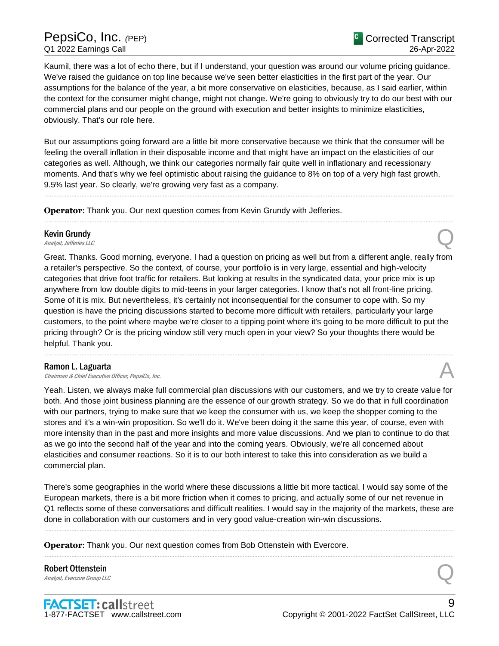### PepsiCo, Inc. *(*PEP) Q1 2022 Earnings Call

Kaumil, there was a lot of echo there, but if I understand, your question was around our volume pricing guidance. We've raised the guidance on top line because we've seen better elasticities in the first part of the year. Our assumptions for the balance of the year, a bit more conservative on elasticities, because, as I said earlier, within the context for the consumer might change, might not change. We're going to obviously try to do our best with our commercial plans and our people on the ground with execution and better insights to minimize elasticities, obviously. That's our role here.

But our assumptions going forward are a little bit more conservative because we think that the consumer will be feeling the overall inflation in their disposable income and that might have an impact on the elasticities of our categories as well. Although, we think our categories normally fair quite well in inflationary and recessionary moments. And that's why we feel optimistic about raising the guidance to 8% on top of a very high fast growth, 9.5% last year. So clearly, we're growing very fast as a company.

......................................................................................................................................................................................................................................................

......................................................................................................................................................................................................................................................

**Operator**: Thank you. Our next question comes from Kevin Grundy with Jefferies.

### Kevin Grundy **Kevin Grundy**<br>Analyst, Jefferies LLC

Great. Thanks. Good morning, everyone. I had a question on pricing as well but from a different angle, really from a retailer's perspective. So the context, of course, your portfolio is in very large, essential and high-velocity categories that drive foot traffic for retailers. But looking at results in the syndicated data, your price mix is up anywhere from low double digits to mid-teens in your larger categories. I know that's not all front-line pricing. Some of it is mix. But nevertheless, it's certainly not inconsequential for the consumer to cope with. So my question is have the pricing discussions started to become more difficult with retailers, particularly your large customers, to the point where maybe we're closer to a tipping point where it's going to be more difficult to put the pricing through? Or is the pricing window still very much open in your view? So your thoughts there would be helpful. Thank you.

......................................................................................................................................................................................................................................................

**Ramon L. Laguarta**<br>Chairman & Chief Executive Officer, PepsiCo, Inc. **Ramon L. Laguarta**<br>Chairman & Chief Executive Officer, PepsiCo, Inc.  $\mathcal{A}$ 

Yeah. Listen, we always make full commercial plan discussions with our customers, and we try to create value for both. And those joint business planning are the essence of our growth strategy. So we do that in full coordination with our partners, trying to make sure that we keep the consumer with us, we keep the shopper coming to the stores and it's a win-win proposition. So we'll do it. We've been doing it the same this year, of course, even with more intensity than in the past and more insights and more value discussions. And we plan to continue to do that as we go into the second half of the year and into the coming years. Obviously, we're all concerned about elasticities and consumer reactions. So it is to our both interest to take this into consideration as we build a commercial plan.

There's some geographies in the world where these discussions a little bit more tactical. I would say some of the European markets, there is a bit more friction when it comes to pricing, and actually some of our net revenue in Q1 reflects some of these conversations and difficult realities. I would say in the majority of the markets, these are done in collaboration with our customers and in very good value-creation win-win discussions.

......................................................................................................................................................................................................................................................

......................................................................................................................................................................................................................................................

**Operator**: Thank you. Our next question comes from Bob Ottenstein with Evercore.

**Robert Ottenstein**<br>Analyst, Evercore Group LLC **Robert Ottenstein**<br>Analyst, Evercore Group LLC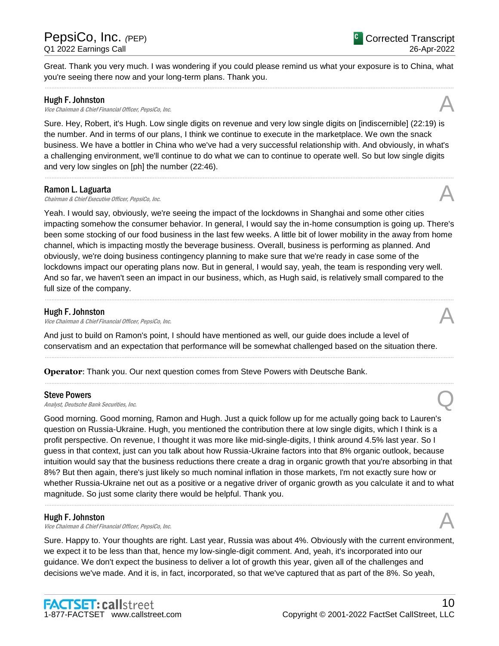Great. Thank you very much. I was wondering if you could please remind us what your exposure is to China, what you're seeing there now and your long-term plans. Thank you.

......................................................................................................................................................................................................................................................

#### Hugh F. Johnston

**Hugh F. Johnston**<br>Vice Chairman & Chief Financial Officer, PepsiCo, Inc.  $\mathcal{A}$ 

Sure. Hey, Robert, it's Hugh. Low single digits on revenue and very low single digits on [indiscernible] (22:19) is the number. And in terms of our plans, I think we continue to execute in the marketplace. We own the snack business. We have a bottler in China who we've had a very successful relationship with. And obviously, in what's a challenging environment, we'll continue to do what we can to continue to operate well. So but low single digits and very low singles on [ph] the number (22:46).

......................................................................................................................................................................................................................................................

#### Ramon L. Laguarta

**Ramon L. Laguarta**<br>Chairman & Chief Executive Officer, PepsiCo, Inc.  $\mathcal{A}$ 

Yeah. I would say, obviously, we're seeing the impact of the lockdowns in Shanghai and some other cities impacting somehow the consumer behavior. In general, I would say the in-home consumption is going up. There's been some stocking of our food business in the last few weeks. A little bit of lower mobility in the away from home channel, which is impacting mostly the beverage business. Overall, business is performing as planned. And obviously, we're doing business contingency planning to make sure that we're ready in case some of the lockdowns impact our operating plans now. But in general, I would say, yeah, the team is responding very well. And so far, we haven't seen an impact in our business, which, as Hugh said, is relatively small compared to the full size of the company.

......................................................................................................................................................................................................................................................

#### Hugh F. Johnston

**Hugh F. Johnston**<br>Vice Chairman & Chief Financial Officer, PepsiCo, Inc.  $\mathcal{A}$ 

And just to build on Ramon's point, I should have mentioned as well, our guide does include a level of conservatism and an expectation that performance will be somewhat challenged based on the situation there.

......................................................................................................................................................................................................................................................

......................................................................................................................................................................................................................................................

**Operator**: Thank you. Our next question comes from Steve Powers with Deutsche Bank.

#### Steve Powers

Steve Powers<br>Analyst, Deutsche Bank Securities, Inc. Quality of the Securities, Inc.

Good morning. Good morning, Ramon and Hugh. Just a quick follow up for me actually going back to Lauren's question on Russia-Ukraine. Hugh, you mentioned the contribution there at low single digits, which I think is a profit perspective. On revenue, I thought it was more like mid-single-digits, I think around 4.5% last year. So I guess in that context, just can you talk about how Russia-Ukraine factors into that 8% organic outlook, because intuition would say that the business reductions there create a drag in organic growth that you're absorbing in that 8%? But then again, there's just likely so much nominal inflation in those markets, I'm not exactly sure how or whether Russia-Ukraine net out as a positive or a negative driver of organic growth as you calculate it and to what magnitude. So just some clarity there would be helpful. Thank you.

......................................................................................................................................................................................................................................................

#### Hugh F. Johnston

**Hugh F. Johnston**<br>Vice Chairman & Chief Financial Officer, PepsiCo, Inc.  $\mathcal{A}$ 

Sure. Happy to. Your thoughts are right. Last year, Russia was about 4%. Obviously with the current environment, we expect it to be less than that, hence my low-single-digit comment. And, yeah, it's incorporated into our guidance. We don't expect the business to deliver a lot of growth this year, given all of the challenges and decisions we've made. And it is, in fact, incorporated, so that we've captured that as part of the 8%. So yeah,





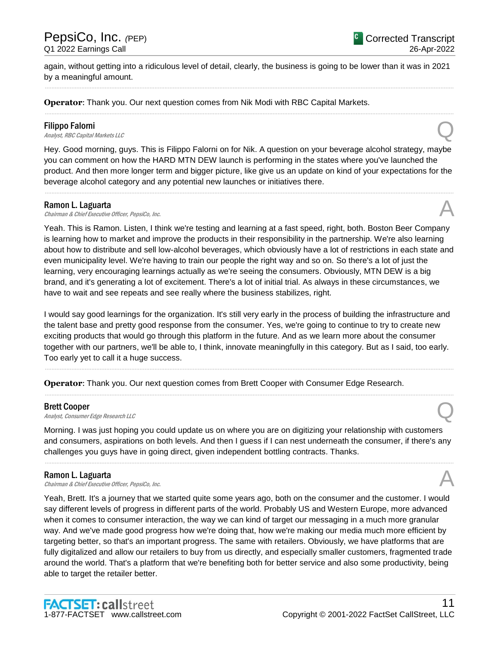again, without getting into a ridiculous level of detail, clearly, the business is going to be lower than it was in 2021 by a meaningful amount. ......................................................................................................................................................................................................................................................

......................................................................................................................................................................................................................................................

**Operator**: Thank you. Our next question comes from Nik Modi with RBC Capital Markets.

#### Filippo Falorni

**Filippo Falorni**<br>Analyst, RBC Capital Markets LLC

Hey. Good morning, guys. This is Filippo Falorni on for Nik. A question on your beverage alcohol strategy, maybe you can comment on how the HARD MTN DEW launch is performing in the states where you've launched the product. And then more longer term and bigger picture, like give us an update on kind of your expectations for the beverage alcohol category and any potential new launches or initiatives there.

......................................................................................................................................................................................................................................................

#### Ramon L. Laguarta

**Ramon L. Laguarta**<br>Chairman & Chief Executive Officer, PepsiCo, Inc.  $\mathcal{A}$ 

Yeah. This is Ramon. Listen, I think we're testing and learning at a fast speed, right, both. Boston Beer Company is learning how to market and improve the products in their responsibility in the partnership. We're also learning about how to distribute and sell low-alcohol beverages, which obviously have a lot of restrictions in each state and even municipality level. We're having to train our people the right way and so on. So there's a lot of just the learning, very encouraging learnings actually as we're seeing the consumers. Obviously, MTN DEW is a big brand, and it's generating a lot of excitement. There's a lot of initial trial. As always in these circumstances, we have to wait and see repeats and see really where the business stabilizes, right.

I would say good learnings for the organization. It's still very early in the process of building the infrastructure and the talent base and pretty good response from the consumer. Yes, we're going to continue to try to create new exciting products that would go through this platform in the future. And as we learn more about the consumer together with our partners, we'll be able to, I think, innovate meaningfully in this category. But as I said, too early. Too early yet to call it a huge success.

......................................................................................................................................................................................................................................................

......................................................................................................................................................................................................................................................

**Operator**: Thank you. Our next question comes from Brett Cooper with Consumer Edge Research.

#### Brett Cooper

**Brett Cooper**<br>Analyst, Consumer Edge Research LLC

Morning. I was just hoping you could update us on where you are on digitizing your relationship with customers and consumers, aspirations on both levels. And then I guess if I can nest underneath the consumer, if there's any challenges you guys have in going direct, given independent bottling contracts. Thanks.

......................................................................................................................................................................................................................................................

#### Ramon L. Laguarta

**Ramon L. Laguarta**<br>Chairman & Chief Executive Officer, PepsiCo, Inc.  $\mathcal{A}$ 

Yeah, Brett. It's a journey that we started quite some years ago, both on the consumer and the customer. I would say different levels of progress in different parts of the world. Probably US and Western Europe, more advanced when it comes to consumer interaction, the way we can kind of target our messaging in a much more granular way. And we've made good progress how we're doing that, how we're making our media much more efficient by targeting better, so that's an important progress. The same with retailers. Obviously, we have platforms that are fully digitalized and allow our retailers to buy from us directly, and especially smaller customers, fragmented trade around the world. That's a platform that we're benefiting both for better service and also some productivity, being able to target the retailer better.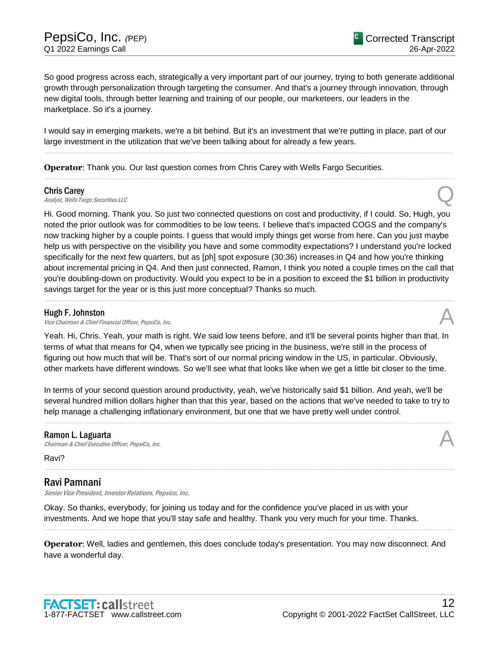So good progress across each, strategically a very important part of our journey, trying to both generate additional growth through personalization through targeting the consumer. And that's a journey through innovation, through new digital tools, through better learning and training of our people, our marketeers, our leaders in the marketplace. So it's a journey.

I would say in emerging markets, we're a bit behind. But it's an investment that we're putting in place, part of our large investment in the utilization that we've been talking about for already a few years.

......................................................................................................................................................................................................................................................

......................................................................................................................................................................................................................................................

**Operator**: Thank you. Our last question comes from Chris Carey with Wells Fargo Securities.

#### Chris Carey

Chris Carey<br>Analyst, Wells Fargo Securities LLC

Hi. Good morning. Thank you. So just two connected questions on cost and productivity, if I could. So, Hugh, you noted the prior outlook was for commodities to be low teens. I believe that's impacted COGS and the company's now tracking higher by a couple points. I guess that would imply things get worse from here. Can you just maybe help us with perspective on the visibility you have and some commodity expectations? I understand you're locked specifically for the next few quarters, but as [ph] spot exposure (30:36) increases in Q4 and how you're thinking about incremental pricing in Q4. And then just connected, Ramon, I think you noted a couple times on the call that you're doubling-down on productivity. Would you expect to be in a position to exceed the \$1 billion in productivity savings target for the year or is this just more conceptual? Thanks so much.

......................................................................................................................................................................................................................................................

#### Hugh F. Johnston

Vice Chairman & Chief Financial Officer, PepsiCo, Inc.

Yeah. Hi, Chris. Yeah, your math is right. We said low teens before, and it'll be several points higher than that. In terms of what that means for Q4, when we typically see pricing in the business, we're still in the process of figuring out how much that will be. That's sort of our normal pricing window in the US, in particular. Obviously, other markets have different windows. So we'll see what that looks like when we get a little bit closer to the time.

In terms of your second question around productivity, yeah, we've historically said \$1 billion. And yeah, we'll be several hundred million dollars higher than that this year, based on the actions that we've needed to take to try to help manage a challenging inflationary environment, but one that we have pretty well under control.

......................................................................................................................................................................................................................................................

......................................................................................................................................................................................................................................................

#### Ramon L. Laguarta

Chairman & Chief Executive Officer, PepsiCo, Inc.

Ravi?

#### Ravi Pamnani

Senior Vice President, Investor Relations, Pepsico, Inc.

Okay. So thanks, everybody, for joining us today and for the confidence you've placed in us with your investments. And we hope that you'll stay safe and healthy. Thank you very much for your time. Thanks.

**Operator**: Well, ladies and gentlemen, this does conclude today's presentation. You may now disconnect. And have a wonderful day.

......................................................................................................................................................................................................................................................